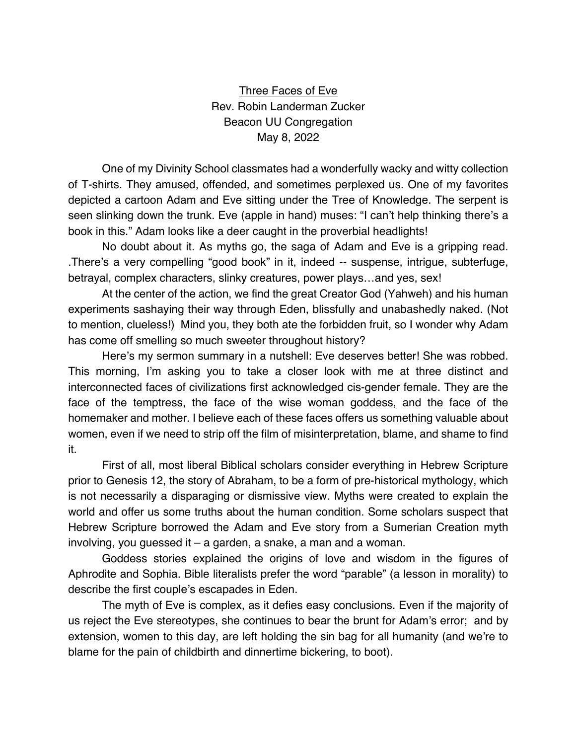Three Faces of Eve Rev. Robin Landerman Zucker Beacon UU Congregation May 8, 2022

One of my Divinity School classmates had a wonderfully wacky and witty collection of T-shirts. They amused, offended, and sometimes perplexed us. One of my favorites depicted a cartoon Adam and Eve sitting under the Tree of Knowledge. The serpent is seen slinking down the trunk. Eve (apple in hand) muses: "I can't help thinking there's a book in this." Adam looks like a deer caught in the proverbial headlights!

No doubt about it. As myths go, the saga of Adam and Eve is a gripping read. .There's a very compelling "good book" in it, indeed -- suspense, intrigue, subterfuge, betrayal, complex characters, slinky creatures, power plays…and yes, sex!

At the center of the action, we find the great Creator God (Yahweh) and his human experiments sashaying their way through Eden, blissfully and unabashedly naked. (Not to mention, clueless!) Mind you, they both ate the forbidden fruit, so I wonder why Adam has come off smelling so much sweeter throughout history?

Here's my sermon summary in a nutshell: Eve deserves better! She was robbed. This morning, I'm asking you to take a closer look with me at three distinct and interconnected faces of civilizations first acknowledged cis-gender female. They are the face of the temptress, the face of the wise woman goddess, and the face of the homemaker and mother. I believe each of these faces offers us something valuable about women, even if we need to strip off the film of misinterpretation, blame, and shame to find it.

First of all, most liberal Biblical scholars consider everything in Hebrew Scripture prior to Genesis 12, the story of Abraham, to be a form of pre-historical mythology, which is not necessarily a disparaging or dismissive view. Myths were created to explain the world and offer us some truths about the human condition. Some scholars suspect that Hebrew Scripture borrowed the Adam and Eve story from a Sumerian Creation myth involving, you guessed it – a garden, a snake, a man and a woman.

Goddess stories explained the origins of love and wisdom in the figures of Aphrodite and Sophia. Bible literalists prefer the word "parable" (a lesson in morality) to describe the first couple's escapades in Eden.

The myth of Eve is complex, as it defies easy conclusions. Even if the majority of us reject the Eve stereotypes, she continues to bear the brunt for Adam's error; and by extension, women to this day, are left holding the sin bag for all humanity (and we're to blame for the pain of childbirth and dinnertime bickering, to boot).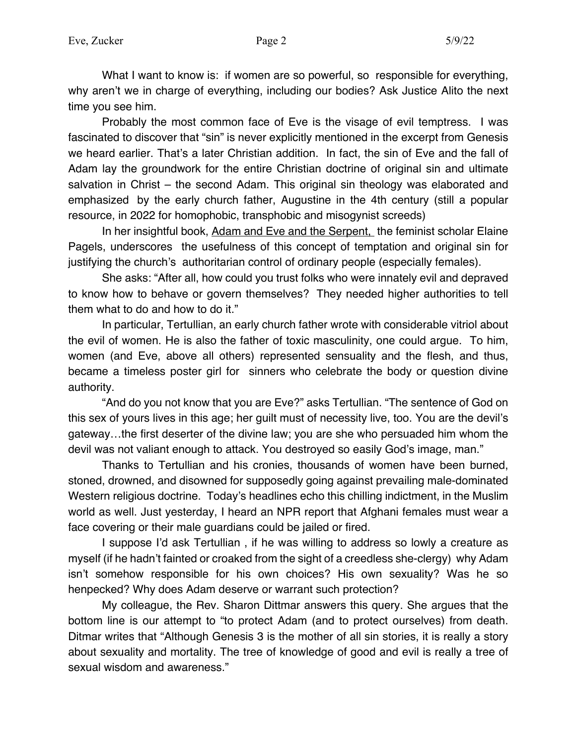What I want to know is: if women are so powerful, so responsible for everything, why aren't we in charge of everything, including our bodies? Ask Justice Alito the next time you see him.

Probably the most common face of Eve is the visage of evil temptress. I was fascinated to discover that "sin" is never explicitly mentioned in the excerpt from Genesis we heard earlier. That's a later Christian addition. In fact, the sin of Eve and the fall of Adam lay the groundwork for the entire Christian doctrine of original sin and ultimate salvation in Christ – the second Adam. This original sin theology was elaborated and emphasized by the early church father, Augustine in the 4th century (still a popular resource, in 2022 for homophobic, transphobic and misogynist screeds)

In her insightful book, Adam and Eve and the Serpent, the feminist scholar Elaine Pagels, underscores the usefulness of this concept of temptation and original sin for justifying the church's authoritarian control of ordinary people (especially females).

She asks: "After all, how could you trust folks who were innately evil and depraved to know how to behave or govern themselves? They needed higher authorities to tell them what to do and how to do it."

In particular, Tertullian, an early church father wrote with considerable vitriol about the evil of women. He is also the father of toxic masculinity, one could argue. To him, women (and Eve, above all others) represented sensuality and the flesh, and thus, became a timeless poster girl for sinners who celebrate the body or question divine authority.

"And do you not know that you are Eve?" asks Tertullian. "The sentence of God on this sex of yours lives in this age; her guilt must of necessity live, too. You are the devil's gateway…the first deserter of the divine law; you are she who persuaded him whom the devil was not valiant enough to attack. You destroyed so easily God's image, man."

Thanks to Tertullian and his cronies, thousands of women have been burned, stoned, drowned, and disowned for supposedly going against prevailing male-dominated Western religious doctrine. Today's headlines echo this chilling indictment, in the Muslim world as well. Just yesterday, I heard an NPR report that Afghani females must wear a face covering or their male guardians could be jailed or fired.

I suppose I'd ask Tertullian , if he was willing to address so lowly a creature as myself (if he hadn't fainted or croaked from the sight of a creedless she-clergy) why Adam isn't somehow responsible for his own choices? His own sexuality? Was he so henpecked? Why does Adam deserve or warrant such protection?

My colleague, the Rev. Sharon Dittmar answers this query. She argues that the bottom line is our attempt to "to protect Adam (and to protect ourselves) from death. Ditmar writes that "Although Genesis 3 is the mother of all sin stories, it is really a story about sexuality and mortality. The tree of knowledge of good and evil is really a tree of sexual wisdom and awareness."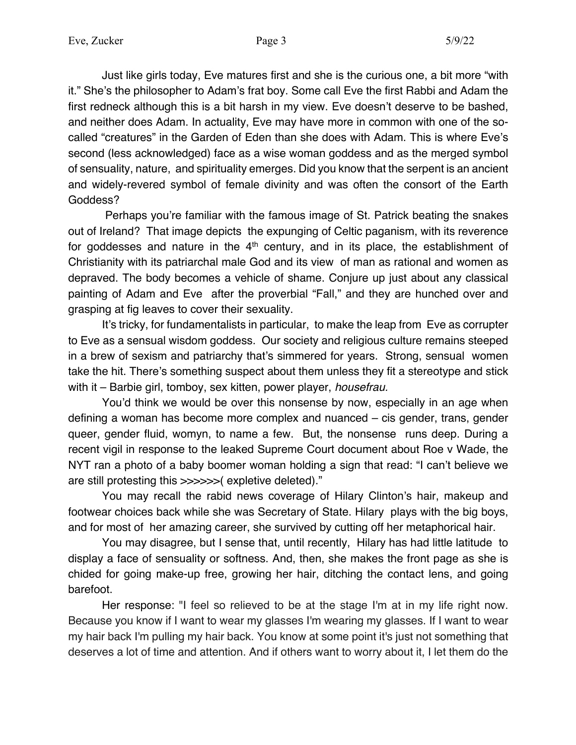Just like girls today, Eve matures first and she is the curious one, a bit more "with it." She's the philosopher to Adam's frat boy. Some call Eve the first Rabbi and Adam the first redneck although this is a bit harsh in my view. Eve doesn't deserve to be bashed, and neither does Adam. In actuality, Eve may have more in common with one of the socalled "creatures" in the Garden of Eden than she does with Adam. This is where Eve's second (less acknowledged) face as a wise woman goddess and as the merged symbol of sensuality, nature, and spirituality emerges. Did you know that the serpent is an ancient and widely-revered symbol of female divinity and was often the consort of the Earth Goddess?

Perhaps you're familiar with the famous image of St. Patrick beating the snakes out of Ireland? That image depicts the expunging of Celtic paganism, with its reverence for goddesses and nature in the  $4<sup>th</sup>$  century, and in its place, the establishment of Christianity with its patriarchal male God and its view of man as rational and women as depraved. The body becomes a vehicle of shame. Conjure up just about any classical painting of Adam and Eve after the proverbial "Fall," and they are hunched over and grasping at fig leaves to cover their sexuality.

It's tricky, for fundamentalists in particular, to make the leap from Eve as corrupter to Eve as a sensual wisdom goddess. Our society and religious culture remains steeped in a brew of sexism and patriarchy that's simmered for years. Strong, sensual women take the hit. There's something suspect about them unless they fit a stereotype and stick with it – Barbie girl, tomboy, sex kitten, power player, *housefrau.*

You'd think we would be over this nonsense by now, especially in an age when defining a woman has become more complex and nuanced – cis gender, trans, gender queer, gender fluid, womyn, to name a few. But, the nonsense runs deep. During a recent vigil in response to the leaked Supreme Court document about Roe v Wade, the NYT ran a photo of a baby boomer woman holding a sign that read: "I can't believe we are still protesting this >>>>>>( expletive deleted)."

You may recall the rabid news coverage of Hilary Clinton's hair, makeup and footwear choices back while she was Secretary of State. Hilary plays with the big boys, and for most of her amazing career, she survived by cutting off her metaphorical hair.

You may disagree, but I sense that, until recently, Hilary has had little latitude to display a face of sensuality or softness. And, then, she makes the front page as she is chided for going make-up free, growing her hair, ditching the contact lens, and going barefoot.

Her response: "I feel so relieved to be at the stage I'm at in my life right now. Because you know if I want to wear my glasses I'm wearing my glasses. If I want to wear my hair back I'm pulling my hair back. You know at some point it's just not something that deserves a lot of time and attention. And if others want to worry about it, I let them do the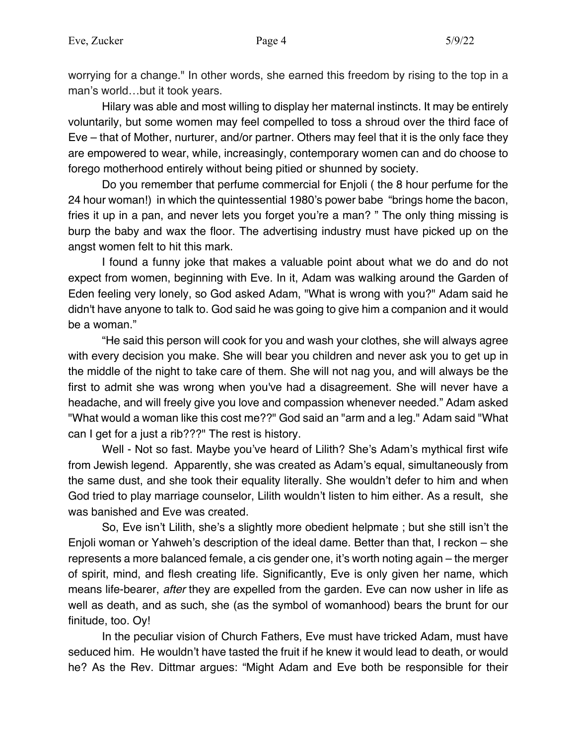worrying for a change." In other words, she earned this freedom by rising to the top in a man's world…but it took years.

Hilary was able and most willing to display her maternal instincts. It may be entirely voluntarily, but some women may feel compelled to toss a shroud over the third face of Eve – that of Mother, nurturer, and/or partner. Others may feel that it is the only face they are empowered to wear, while, increasingly, contemporary women can and do choose to forego motherhood entirely without being pitied or shunned by society.

Do you remember that perfume commercial for Enjoli ( the 8 hour perfume for the 24 hour woman!) in which the quintessential 1980's power babe "brings home the bacon, fries it up in a pan, and never lets you forget you're a man? " The only thing missing is burp the baby and wax the floor. The advertising industry must have picked up on the angst women felt to hit this mark.

I found a funny joke that makes a valuable point about what we do and do not expect from women, beginning with Eve. In it, Adam was walking around the Garden of Eden feeling very lonely, so God asked Adam, "What is wrong with you?" Adam said he didn't have anyone to talk to. God said he was going to give him a companion and it would be a woman."

"He said this person will cook for you and wash your clothes, she will always agree with every decision you make. She will bear you children and never ask you to get up in the middle of the night to take care of them. She will not nag you, and will always be the first to admit she was wrong when you've had a disagreement. She will never have a headache, and will freely give you love and compassion whenever needed." Adam asked "What would a woman like this cost me??" God said an "arm and a leg." Adam said "What can I get for a just a rib???" The rest is history.

Well - Not so fast. Maybe you've heard of Lilith? She's Adam's mythical first wife from Jewish legend. Apparently, she was created as Adam's equal, simultaneously from the same dust, and she took their equality literally. She wouldn't defer to him and when God tried to play marriage counselor, Lilith wouldn't listen to him either. As a result, she was banished and Eve was created.

So, Eve isn't Lilith, she's a slightly more obedient helpmate ; but she still isn't the Enjoli woman or Yahweh's description of the ideal dame. Better than that, I reckon – she represents a more balanced female, a cis gender one, it's worth noting again – the merger of spirit, mind, and flesh creating life. Significantly, Eve is only given her name, which means life-bearer, *after* they are expelled from the garden. Eve can now usher in life as well as death, and as such, she (as the symbol of womanhood) bears the brunt for our finitude, too. Oy!

In the peculiar vision of Church Fathers, Eve must have tricked Adam, must have seduced him. He wouldn't have tasted the fruit if he knew it would lead to death, or would he? As the Rev. Dittmar argues: "Might Adam and Eve both be responsible for their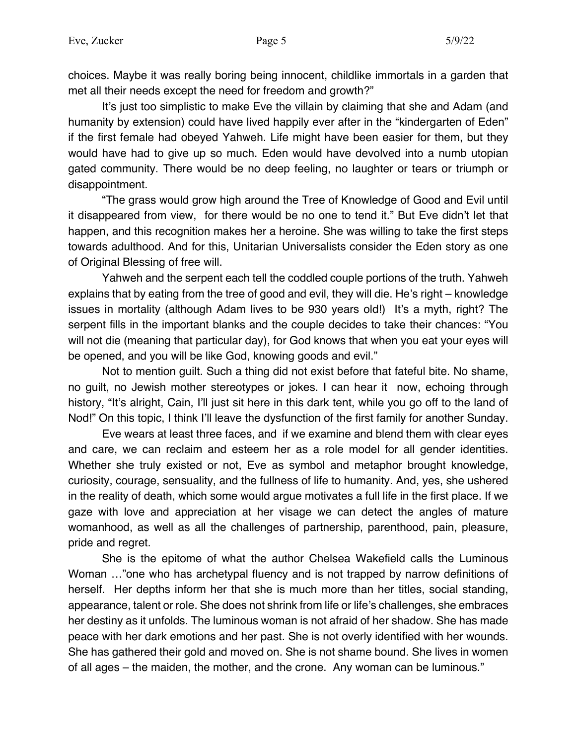choices. Maybe it was really boring being innocent, childlike immortals in a garden that met all their needs except the need for freedom and growth?"

It's just too simplistic to make Eve the villain by claiming that she and Adam (and humanity by extension) could have lived happily ever after in the "kindergarten of Eden" if the first female had obeyed Yahweh. Life might have been easier for them, but they would have had to give up so much. Eden would have devolved into a numb utopian gated community. There would be no deep feeling, no laughter or tears or triumph or disappointment.

"The grass would grow high around the Tree of Knowledge of Good and Evil until it disappeared from view, for there would be no one to tend it." But Eve didn't let that happen, and this recognition makes her a heroine. She was willing to take the first steps towards adulthood. And for this, Unitarian Universalists consider the Eden story as one of Original Blessing of free will.

Yahweh and the serpent each tell the coddled couple portions of the truth. Yahweh explains that by eating from the tree of good and evil, they will die. He's right – knowledge issues in mortality (although Adam lives to be 930 years old!) It's a myth, right? The serpent fills in the important blanks and the couple decides to take their chances: "You will not die (meaning that particular day), for God knows that when you eat your eyes will be opened, and you will be like God, knowing goods and evil."

Not to mention guilt. Such a thing did not exist before that fateful bite. No shame, no guilt, no Jewish mother stereotypes or jokes. I can hear it now, echoing through history, "It's alright, Cain, I'll just sit here in this dark tent, while you go off to the land of Nod!" On this topic, I think I'll leave the dysfunction of the first family for another Sunday.

Eve wears at least three faces, and if we examine and blend them with clear eyes and care, we can reclaim and esteem her as a role model for all gender identities. Whether she truly existed or not, Eve as symbol and metaphor brought knowledge, curiosity, courage, sensuality, and the fullness of life to humanity. And, yes, she ushered in the reality of death, which some would argue motivates a full life in the first place. If we gaze with love and appreciation at her visage we can detect the angles of mature womanhood, as well as all the challenges of partnership, parenthood, pain, pleasure, pride and regret.

She is the epitome of what the author Chelsea Wakefield calls the Luminous Woman …"one who has archetypal fluency and is not trapped by narrow definitions of herself. Her depths inform her that she is much more than her titles, social standing, appearance, talent or role. She does not shrink from life or life's challenges, she embraces her destiny as it unfolds. The luminous woman is not afraid of her shadow. She has made peace with her dark emotions and her past. She is not overly identified with her wounds. She has gathered their gold and moved on. She is not shame bound. She lives in women of all ages – the maiden, the mother, and the crone. Any woman can be luminous."